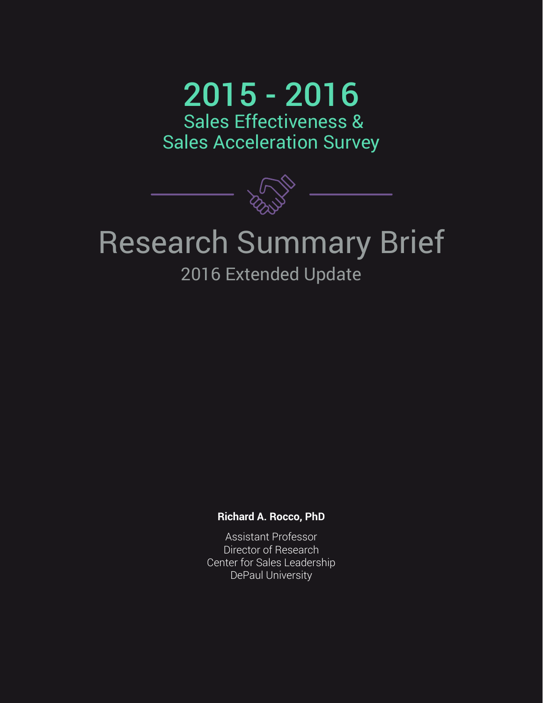# 2015 - 2016 Sales Effectiveness & Sales Acceleration Survey



# Research Summary Brief

# 2016 Extended Update

## **Richard A. Rocco, PhD**

Assistant Professor Director of Research Center for Sales Leadership DePaul University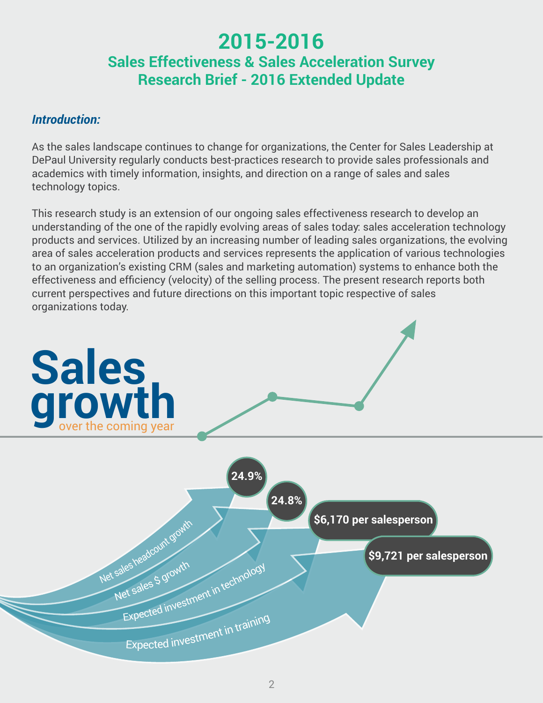# **2015-2016**

# **Sales Effectiveness & Sales Acceleration Survey Research Brief - 2016 Extended Update**

## *Introduction:*

As the sales landscape continues to change for organizations, the Center for Sales Leadership at DePaul University regularly conducts best-practices research to provide sales professionals and academics with timely information, insights, and direction on a range of sales and sales technology topics.

This research study is an extension of our ongoing sales effectiveness research to develop an understanding of the one of the rapidly evolving areas of sales today: sales acceleration technology products and services. Utilized by an increasing number of leading sales organizations, the evolving area of sales acceleration products and services represents the application of various technologies to an organization's existing CRM (sales and marketing automation) systems to enhance both the effectiveness and efficiency (velocity) of the selling process. The present research reports both current perspectives and future directions on this important topic respective of sales organizations today.

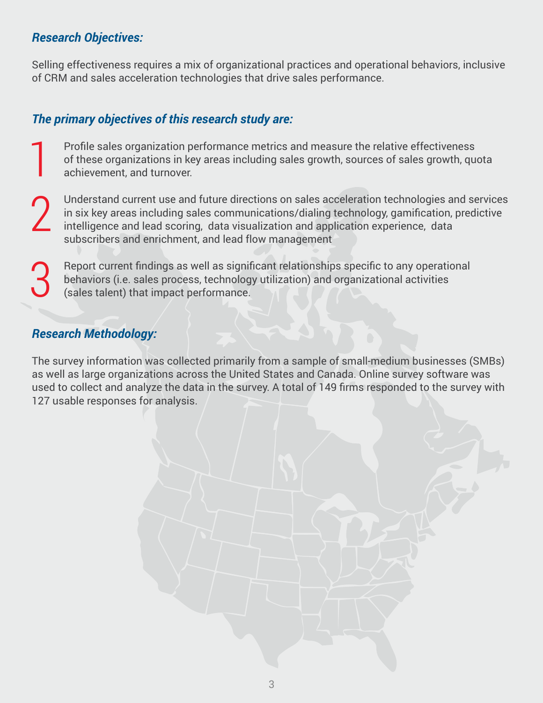# *Research Objectives:*

Selling effectiveness requires a mix of organizational practices and operational behaviors, inclusive of CRM and sales acceleration technologies that drive sales performance.

# *The primary objectives of this research study are:*

- Profile sales organization performance metrics and measure the relative effectiveness of these organizations in key areas including sales growth, sources of sales growth, quota achievement, and turnover. 1
- Understand current use and future directions on sales acceleration technologies and services in six key areas including sales communications/dialing technology, gamification, predictive intelligence and lead scoring, data visualization and application experience, data subscribers and enrichment, and lead flow management 2
- Report current findings as well as significant relationships specific to any operational behaviors (i.e. sales process, technology utilization) and organizational activities (sales talent) that impact performance. 3

# *Research Methodology:*

The survey information was collected primarily from a sample of small-medium businesses (SMBs) as well as large organizations across the United States and Canada. Online survey software was used to collect and analyze the data in the survey. A total of 149 firms responded to the survey with 127 usable responses for analysis.

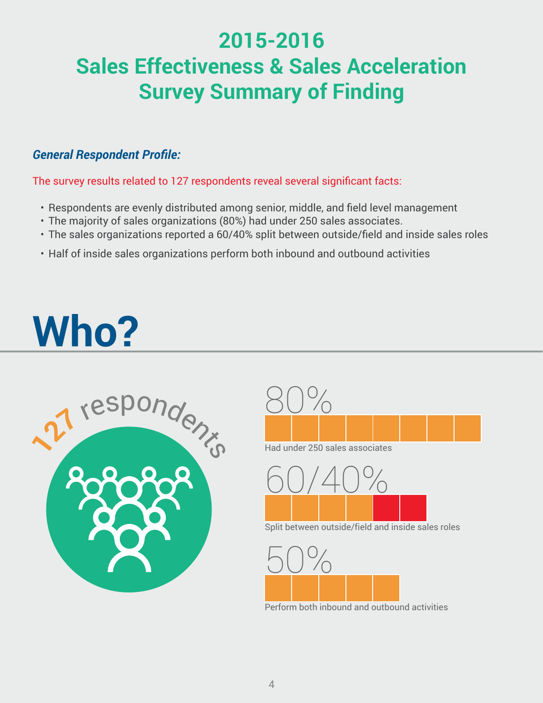# **2015-2016 Sales Effectiveness & Sales Acceleration Survey Summary of Finding**

# *General Respondent Profile:*

The survey results related to 127 respondents reveal several significant facts:

- Respondents are evenly distributed among senior, middle, and field level management
- The majority of sales organizations (80%) had under 250 sales associates.
- The sales organizations reported a 60/40% split between outside/field and inside sales roles
- Half of inside sales organizations perform both inbound and outbound activities

# **Who?**





Had under 250 sales associates



Split between outside/field and inside sales roles



Perform both inbound and outbound activities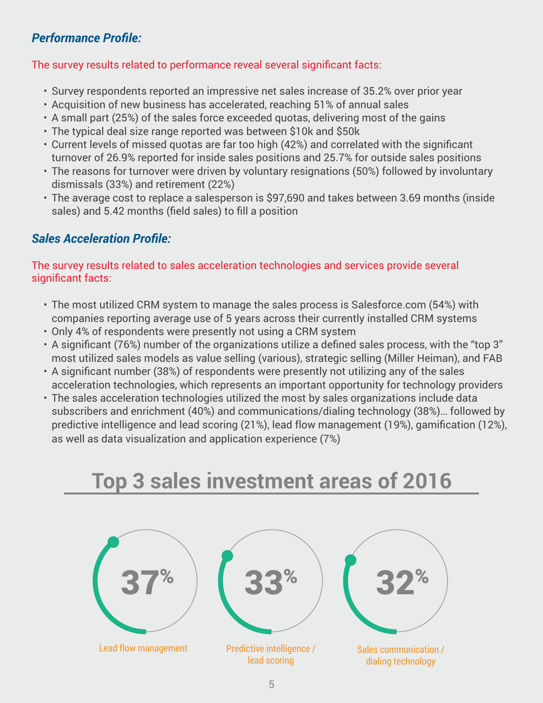# *Performance Profile:*

#### The survey results related to performance reveal several significant facts:

- Survey respondents reported an impressive net sales increase of 35.2% over prior year
- Acquisition of new business has accelerated, reaching 51% of annual sales
- A small part (25%) of the sales force exceeded quotas, delivering most of the gains
- The typical deal size range reported was between \$10k and \$50k
- Current levels of missed quotas are far too high (42%) and correlated with the significant turnover of 26.9% reported for inside sales positions and 25.7% for outside sales positions
- The reasons for turnover were driven by voluntary resignations (50%) followed by involuntary dismissals (33%) and retirement (22%)
- The average cost to replace a salesperson is \$97,690 and takes between 3.69 months (inside sales) and 5.42 months (field sales) to fill a position

# *Sales Acceleration Profile:*

## The survey results related to sales acceleration technologies and services provide several significant facts:

- The most utilized CRM system to manage the sales process is Salesforce.com (54%) with companies reporting average use of 5 years across their currently installed CRM systems
- Only 4% of respondents were presently not using a CRM system
- A significant (76%) number of the organizations utilize a defined sales process, with the "top 3" most utilized sales models as value selling (various), strategic selling (Miller Heiman), and FAB
- A significant number (38%) of respondents were presently not utilizing any of the sales acceleration technologies, which represents an important opportunity for technology providers
- The sales acceleration technologies utilized the most by sales organizations include data subscribers and enrichment (40%) and communications/dialing technology (38%)… followed by predictive intelligence and lead scoring (21%), lead flow management (19%), gamification (12%), as well as data visualization and application experience (7%)

# **Top 3 sales investment areas of 2016**

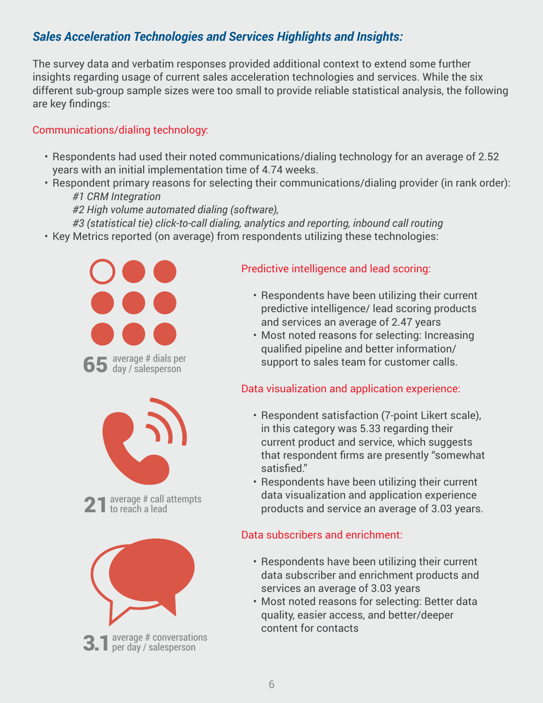# *Sales Acceleration Technologies and Services Highlights and Insights:*

The survey data and verbatim responses provided additional context to extend some further insights regarding usage of current sales acceleration technologies and services. While the six different sub-group sample sizes were too small to provide reliable statistical analysis, the following are key findings:

#### Communications/dialing technology:

- Respondents had used their noted communications/dialing technology for an average of 2.52 years with an initial implementation time of 4.74 weeks.
- Respondent primary reasons for selecting their communications/dialing provider (in rank order): *#1 CRM Integration*

*#2 High volume automated dialing (software),* 

*#3 (statistical tie) click-to-call dialing, analytics and reporting, inbound call routing* 

• Key Metrics reported (on average) from respondents utilizing these technologies:



## Predictive intelligence and lead scoring:

- Respondents have been utilizing their current predictive intelligence/ lead scoring products and services an average of 2.47 years
- Most noted reasons for selecting: Increasing qualified pipeline and better information/ support to sales team for customer calls.

## Data visualization and application experience:

- Respondent satisfaction (7-point Likert scale), in this category was 5.33 regarding their current product and service, which suggests that respondent firms are presently "somewhat satisfied."
- Respondents have been utilizing their current data visualization and application experience products and service an average of 3.03 years.

## Data subscribers and enrichment:

- Respondents have been utilizing their current data subscriber and enrichment products and services an average of 3.03 years
- Most noted reasons for selecting: Better data quality, easier access, and better/deeper content for contacts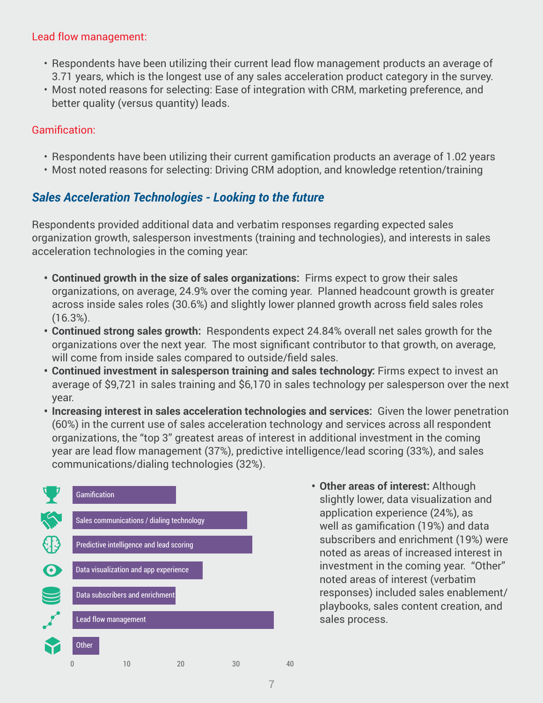#### Lead flow management:

- Respondents have been utilizing their current lead flow management products an average of 3.71 years, which is the longest use of any sales acceleration product category in the survey.
- Most noted reasons for selecting: Ease of integration with CRM, marketing preference, and better quality (versus quantity) leads.

#### Gamification:

- Respondents have been utilizing their current gamification products an average of 1.02 years
- Most noted reasons for selecting: Driving CRM adoption, and knowledge retention/training

# *Sales Acceleration Technologies - Looking to the future*

Respondents provided additional data and verbatim responses regarding expected sales organization growth, salesperson investments (training and technologies), and interests in sales acceleration technologies in the coming year:

- **• Continued growth in the size of sales organizations:** Firms expect to grow their sales organizations, on average, 24.9% over the coming year. Planned headcount growth is greater across inside sales roles (30.6%) and slightly lower planned growth across field sales roles  $(16.3\%)$ .
- **• Continued strong sales growth:** Respondents expect 24.84% overall net sales growth for the organizations over the next year. The most significant contributor to that growth, on average, will come from inside sales compared to outside/field sales.
- **• Continued investment in salesperson training and sales technology:** Firms expect to invest an average of \$9,721 in sales training and \$6,170 in sales technology per salesperson over the next year.
- **• Increasing interest in sales acceleration technologies and services:** Given the lower penetration (60%) in the current use of sales acceleration technology and services across all respondent organizations, the "top 3" greatest areas of interest in additional investment in the coming year are lead flow management (37%), predictive intelligence/lead scoring (33%), and sales communications/dialing technologies (32%).



**• Other areas of interest:** Although slightly lower, data visualization and application experience (24%), as well as gamification (19%) and data subscribers and enrichment (19%) were noted as areas of increased interest in investment in the coming year. "Other" noted areas of interest (verbatim responses) included sales enablement/ playbooks, sales content creation, and sales process.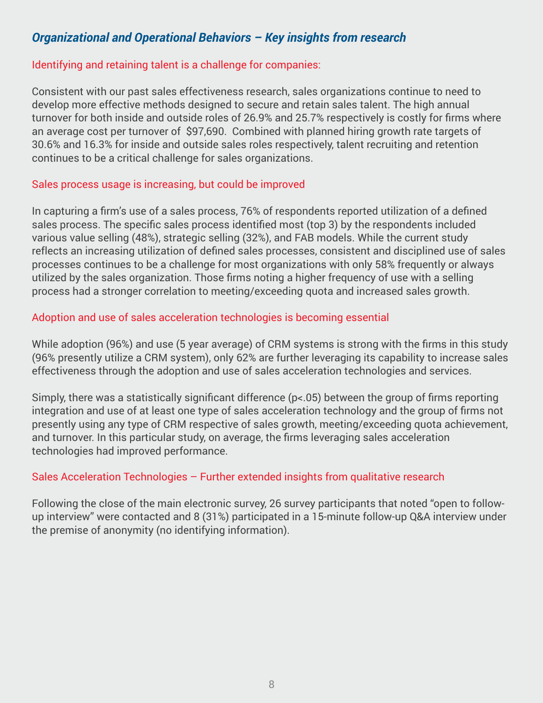# *Organizational and Operational Behaviors – Key insights from research*

#### Identifying and retaining talent is a challenge for companies:

Consistent with our past sales effectiveness research, sales organizations continue to need to develop more effective methods designed to secure and retain sales talent. The high annual turnover for both inside and outside roles of 26.9% and 25.7% respectively is costly for firms where an average cost per turnover of \$97,690. Combined with planned hiring growth rate targets of 30.6% and 16.3% for inside and outside sales roles respectively, talent recruiting and retention continues to be a critical challenge for sales organizations.

#### Sales process usage is increasing, but could be improved

In capturing a firm's use of a sales process, 76% of respondents reported utilization of a defined sales process. The specific sales process identified most (top 3) by the respondents included various value selling (48%), strategic selling (32%), and FAB models. While the current study reflects an increasing utilization of defined sales processes, consistent and disciplined use of sales processes continues to be a challenge for most organizations with only 58% frequently or always utilized by the sales organization. Those firms noting a higher frequency of use with a selling process had a stronger correlation to meeting/exceeding quota and increased sales growth.

#### Adoption and use of sales acceleration technologies is becoming essential

While adoption (96%) and use (5 year average) of CRM systems is strong with the firms in this study (96% presently utilize a CRM system), only 62% are further leveraging its capability to increase sales effectiveness through the adoption and use of sales acceleration technologies and services.

Simply, there was a statistically significant difference (p<.05) between the group of firms reporting integration and use of at least one type of sales acceleration technology and the group of firms not presently using any type of CRM respective of sales growth, meeting/exceeding quota achievement, and turnover. In this particular study, on average, the firms leveraging sales acceleration technologies had improved performance.

#### Sales Acceleration Technologies – Further extended insights from qualitative research

Following the close of the main electronic survey, 26 survey participants that noted "open to followup interview" were contacted and 8 (31%) participated in a 15-minute follow-up Q&A interview under the premise of anonymity (no identifying information).